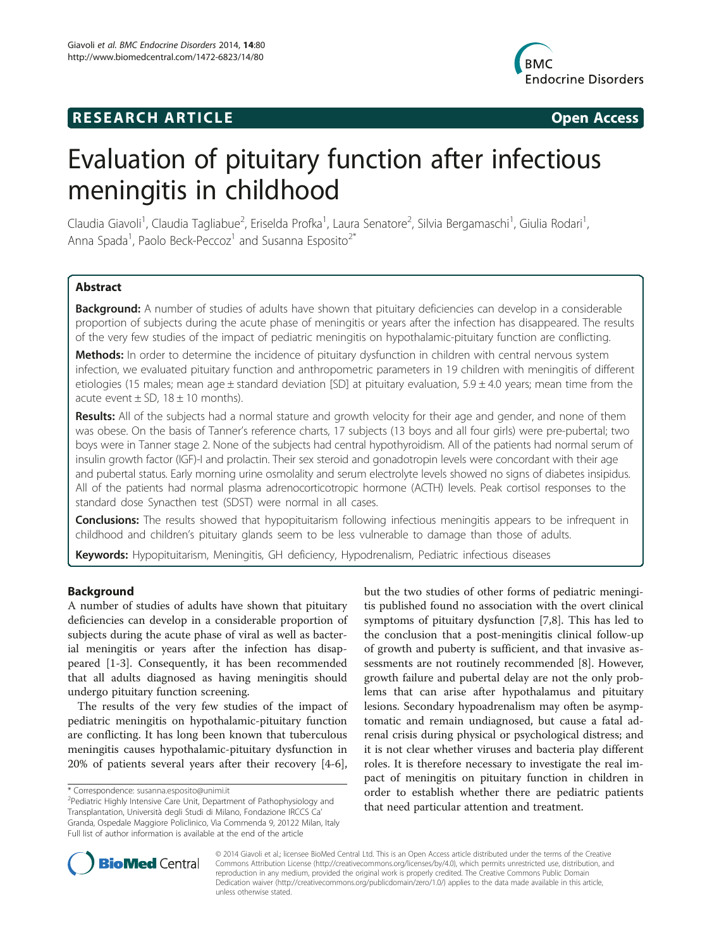## **RESEARCH ARTICLE Example 2014 CONSIDERING CONSIDERING CONSIDERING CONSIDERING CONSIDERING CONSIDERING CONSIDERING CONSIDERING CONSIDERING CONSIDERING CONSIDERING CONSIDERING CONSIDERING CONSIDERING CONSIDERING CONSIDE**



# Evaluation of pituitary function after infectious meningitis in childhood

Claudia Giavoli<sup>1</sup>, Claudia Tagliabue<sup>2</sup>, Eriselda Profka<sup>1</sup>, Laura Senatore<sup>2</sup>, Silvia Bergamaschi<sup>1</sup>, Giulia Rodari<sup>1</sup> , Anna Spada<sup>1</sup>, Paolo Beck-Peccoz<sup>1</sup> and Susanna Esposito<sup>2\*</sup>

## Abstract

Background: A number of studies of adults have shown that pituitary deficiencies can develop in a considerable proportion of subjects during the acute phase of meningitis or years after the infection has disappeared. The results of the very few studies of the impact of pediatric meningitis on hypothalamic-pituitary function are conflicting.

Methods: In order to determine the incidence of pituitary dysfunction in children with central nervous system infection, we evaluated pituitary function and anthropometric parameters in 19 children with meningitis of different etiologies (15 males; mean age  $\pm$  standard deviation [SD] at pituitary evaluation,  $5.9 \pm 4.0$  years; mean time from the acute event  $\pm$  SD, 18  $\pm$  10 months).

Results: All of the subjects had a normal stature and growth velocity for their age and gender, and none of them was obese. On the basis of Tanner's reference charts, 17 subjects (13 boys and all four girls) were pre-pubertal; two boys were in Tanner stage 2. None of the subjects had central hypothyroidism. All of the patients had normal serum of insulin growth factor (IGF)-I and prolactin. Their sex steroid and gonadotropin levels were concordant with their age and pubertal status. Early morning urine osmolality and serum electrolyte levels showed no signs of diabetes insipidus. All of the patients had normal plasma adrenocorticotropic hormone (ACTH) levels. Peak cortisol responses to the standard dose Synacthen test (SDST) were normal in all cases.

**Conclusions:** The results showed that hypopituitarism following infectious meningitis appears to be infrequent in childhood and children's pituitary glands seem to be less vulnerable to damage than those of adults.

Keywords: Hypopituitarism, Meningitis, GH deficiency, Hypodrenalism, Pediatric infectious diseases

## Background

A number of studies of adults have shown that pituitary deficiencies can develop in a considerable proportion of subjects during the acute phase of viral as well as bacterial meningitis or years after the infection has disappeared [\[1-3](#page-4-0)]. Consequently, it has been recommended that all adults diagnosed as having meningitis should undergo pituitary function screening.

The results of the very few studies of the impact of pediatric meningitis on hypothalamic-pituitary function are conflicting. It has long been known that tuberculous meningitis causes hypothalamic-pituitary dysfunction in 20% of patients several years after their recovery [[4-6](#page-4-0)],

but the two studies of other forms of pediatric meningitis published found no association with the overt clinical symptoms of pituitary dysfunction [\[7](#page-4-0),[8](#page-4-0)]. This has led to the conclusion that a post-meningitis clinical follow-up of growth and puberty is sufficient, and that invasive assessments are not routinely recommended [[8\]](#page-4-0). However, growth failure and pubertal delay are not the only problems that can arise after hypothalamus and pituitary lesions. Secondary hypoadrenalism may often be asymptomatic and remain undiagnosed, but cause a fatal adrenal crisis during physical or psychological distress; and it is not clear whether viruses and bacteria play different roles. It is therefore necessary to investigate the real impact of meningitis on pituitary function in children in order to establish whether there are pediatric patients that need particular attention and treatment.



© 2014 Giavoli et al.; licensee BioMed Central Ltd. This is an Open Access article distributed under the terms of the Creative Commons Attribution License [\(http://creativecommons.org/licenses/by/4.0\)](http://creativecommons.org/licenses/by/4.0), which permits unrestricted use, distribution, and reproduction in any medium, provided the original work is properly credited. The Creative Commons Public Domain Dedication waiver [\(http://creativecommons.org/publicdomain/zero/1.0/](http://creativecommons.org/publicdomain/zero/1.0/)) applies to the data made available in this article, unless otherwise stated.

<sup>\*</sup> Correspondence: [susanna.esposito@unimi.it](mailto:susanna.esposito@unimi.it) <sup>2</sup>

<sup>&</sup>lt;sup>2</sup>Pediatric Highly Intensive Care Unit, Department of Pathophysiology and Transplantation, Università degli Studi di Milano, Fondazione IRCCS Ca' Granda, Ospedale Maggiore Policlinico, Via Commenda 9, 20122 Milan, Italy Full list of author information is available at the end of the article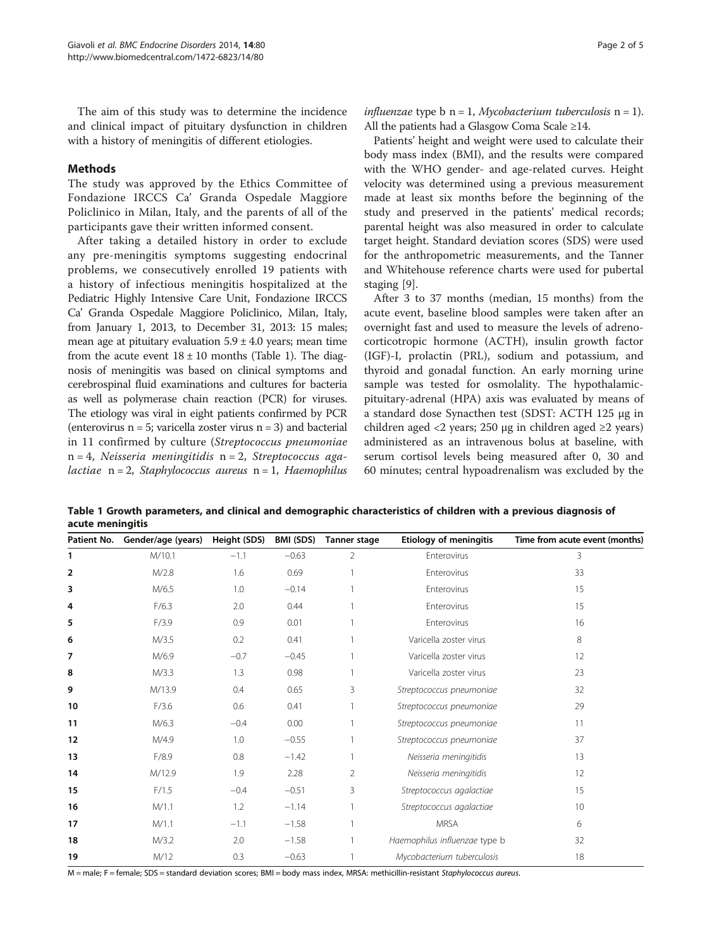<span id="page-1-0"></span>The aim of this study was to determine the incidence and clinical impact of pituitary dysfunction in children with a history of meningitis of different etiologies.

## Methods

The study was approved by the Ethics Committee of Fondazione IRCCS Ca' Granda Ospedale Maggiore Policlinico in Milan, Italy, and the parents of all of the participants gave their written informed consent.

After taking a detailed history in order to exclude any pre-meningitis symptoms suggesting endocrinal problems, we consecutively enrolled 19 patients with a history of infectious meningitis hospitalized at the Pediatric Highly Intensive Care Unit, Fondazione IRCCS Ca' Granda Ospedale Maggiore Policlinico, Milan, Italy, from January 1, 2013, to December 31, 2013: 15 males; mean age at pituitary evaluation  $5.9 \pm 4.0$  years; mean time from the acute event  $18 \pm 10$  months (Table 1). The diagnosis of meningitis was based on clinical symptoms and cerebrospinal fluid examinations and cultures for bacteria as well as polymerase chain reaction (PCR) for viruses. The etiology was viral in eight patients confirmed by PCR (enterovirus  $n = 5$ ; varicella zoster virus  $n = 3$ ) and bacterial in 11 confirmed by culture (Streptococcus pneumoniae  $n = 4$ , Neisseria meningitidis  $n = 2$ , Streptococcus agalactiae  $n = 2$ , Staphylococcus aureus  $n = 1$ , Haemophilus

Patients' height and weight were used to calculate their body mass index (BMI), and the results were compared with the WHO gender- and age-related curves. Height velocity was determined using a previous measurement made at least six months before the beginning of the study and preserved in the patients' medical records; parental height was also measured in order to calculate target height. Standard deviation scores (SDS) were used for the anthropometric measurements, and the Tanner and Whitehouse reference charts were used for pubertal staging [[9](#page-4-0)].

After 3 to 37 months (median, 15 months) from the acute event, baseline blood samples were taken after an overnight fast and used to measure the levels of adrenocorticotropic hormone (ACTH), insulin growth factor (IGF)-I, prolactin (PRL), sodium and potassium, and thyroid and gonadal function. An early morning urine sample was tested for osmolality. The hypothalamicpituitary-adrenal (HPA) axis was evaluated by means of a standard dose Synacthen test (SDST: ACTH 125 μg in children aged <2 years; 250 μg in children aged  $\geq$ 2 years) administered as an intravenous bolus at baseline, with serum cortisol levels being measured after 0, 30 and 60 minutes; central hypoadrenalism was excluded by the

Table 1 Growth parameters, and clinical and demographic characteristics of children with a previous diagnosis of acute meningitis

| Patient No. | Gender/age (years) | Height (SDS) | BMI (SDS) | <b>Tanner stage</b> | <b>Etiology of meningitis</b> | Time from acute event (months) |
|-------------|--------------------|--------------|-----------|---------------------|-------------------------------|--------------------------------|
| 1           | M/10.1             | $-1.1$       | $-0.63$   | $\overline{2}$      | Enterovirus                   | 3                              |
| 2           | M/2.8              | 1.6          | 0.69      |                     | Enterovirus                   | 33                             |
| 3           | M/6.5              | 1.0          | $-0.14$   |                     | Enterovirus                   | 15                             |
| 4           | F/6.3              | 2.0          | 0.44      |                     | Enterovirus                   | 15                             |
| 5           | F/3.9              | 0.9          | 0.01      |                     | Enterovirus                   | 16                             |
| 6           | M/3.5              | 0.2          | 0.41      |                     | Varicella zoster virus        | 8                              |
| 7           | M/6.9              | $-0.7$       | $-0.45$   |                     | Varicella zoster virus        | 12                             |
| 8           | M/3.3              | 1.3          | 0.98      |                     | Varicella zoster virus        | 23                             |
| 9           | M/13.9             | 0.4          | 0.65      | 3                   | Streptococcus pneumoniae      | 32                             |
| 10          | F/3.6              | 0.6          | 0.41      |                     | Streptococcus pneumoniae      | 29                             |
| 11          | M/6.3              | $-0.4$       | 0.00      |                     | Streptococcus pneumoniae      | 11                             |
| 12          | M/4.9              | 1.0          | $-0.55$   |                     | Streptococcus pneumoniae      | 37                             |
| 13          | F/8.9              | 0.8          | $-1.42$   |                     | Neisseria meningitidis        | 13                             |
| 14          | M/12.9             | 1.9          | 2.28      | $\overline{2}$      | Neisseria meningitidis        | 12                             |
| 15          | F/1.5              | $-0.4$       | $-0.51$   | 3                   | Streptococcus agalactiae      | 15                             |
| 16          | M/1.1              | 1.2          | $-1.14$   |                     | Streptococcus agalactiae      | 10                             |
| 17          | M/1.1              | $-1.1$       | $-1.58$   |                     | <b>MRSA</b>                   | 6                              |
| 18          | M/3.2              | 2.0          | $-1.58$   |                     | Haemophilus influenzae type b | 32                             |
| 19          | M/12               | 0.3          | $-0.63$   |                     | Mycobacterium tuberculosis    | 18                             |

M = male; F = female; SDS = standard deviation scores; BMI = body mass index, MRSA: methicillin-resistant Staphylococcus aureus.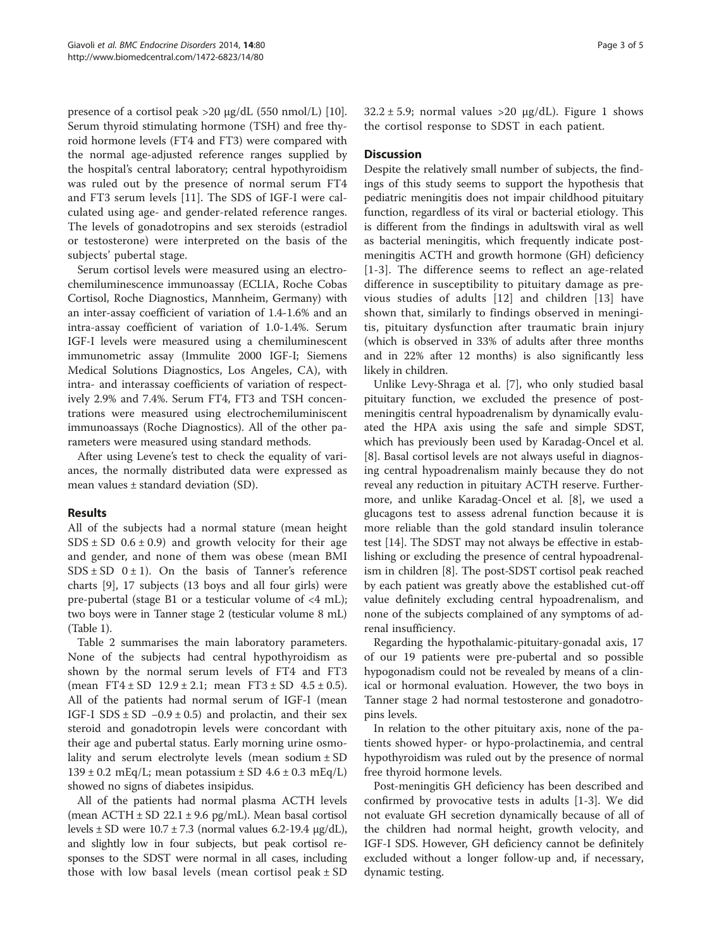presence of a cortisol peak >20 μg/dL (550 nmol/L) [\[10](#page-4-0)]. Serum thyroid stimulating hormone (TSH) and free thyroid hormone levels (FT4 and FT3) were compared with the normal age-adjusted reference ranges supplied by the hospital's central laboratory; central hypothyroidism was ruled out by the presence of normal serum FT4 and FT3 serum levels [[11\]](#page-4-0). The SDS of IGF-I were calculated using age- and gender-related reference ranges. The levels of gonadotropins and sex steroids (estradiol or testosterone) were interpreted on the basis of the subjects' pubertal stage.

Serum cortisol levels were measured using an electrochemiluminescence immunoassay (ECLIA, Roche Cobas Cortisol, Roche Diagnostics, Mannheim, Germany) with an inter-assay coefficient of variation of 1.4-1.6% and an intra-assay coefficient of variation of 1.0-1.4%. Serum IGF-I levels were measured using a chemiluminescent immunometric assay (Immulite 2000 IGF-I; Siemens Medical Solutions Diagnostics, Los Angeles, CA), with intra- and interassay coefficients of variation of respectively 2.9% and 7.4%. Serum FT4, FT3 and TSH concentrations were measured using electrochemiluminiscent immunoassays (Roche Diagnostics). All of the other parameters were measured using standard methods.

After using Levene's test to check the equality of variances, the normally distributed data were expressed as mean values ± standard deviation (SD).

## Results

All of the subjects had a normal stature (mean height  $SDS \pm SD$  0.6  $\pm$  0.9) and growth velocity for their age and gender, and none of them was obese (mean BMI  $SDS \pm SD$  0  $\pm$  1). On the basis of Tanner's reference charts [[9\]](#page-4-0), 17 subjects (13 boys and all four girls) were pre-pubertal (stage B1 or a testicular volume of <4 mL); two boys were in Tanner stage 2 (testicular volume 8 mL) (Table [1\)](#page-1-0).

Table [2](#page-3-0) summarises the main laboratory parameters. None of the subjects had central hypothyroidism as shown by the normal serum levels of FT4 and FT3 (mean FT4  $\pm$  SD 12.9  $\pm$  2.1; mean FT3  $\pm$  SD 4.5  $\pm$  0.5). All of the patients had normal serum of IGF-I (mean IGF-I SDS  $\pm$  SD  $-0.9 \pm 0.5$ ) and prolactin, and their sex steroid and gonadotropin levels were concordant with their age and pubertal status. Early morning urine osmolality and serum electrolyte levels (mean sodium  $\pm$  SD  $139 \pm 0.2$  mEq/L; mean potassium  $\pm$  SD 4.6  $\pm$  0.3 mEq/L) showed no signs of diabetes insipidus.

All of the patients had normal plasma ACTH levels (mean  $\text{ACTH} \pm \text{SD} 22.1 \pm 9.6 \text{ pg/mL}$ ). Mean basal cortisol levels ± SD were 10.7 ± 7.3 (normal values 6.2-19.4 μg/dL), and slightly low in four subjects, but peak cortisol responses to the SDST were normal in all cases, including those with low basal levels (mean cortisol peak  $\pm$  SD  $32.2 \pm 5.9$ ; normal values >20  $\mu$ g/dL). Figure [1](#page-3-0) shows the cortisol response to SDST in each patient.

## **Discussion**

Despite the relatively small number of subjects, the findings of this study seems to support the hypothesis that pediatric meningitis does not impair childhood pituitary function, regardless of its viral or bacterial etiology. This is different from the findings in adultswith viral as well as bacterial meningitis, which frequently indicate postmeningitis ACTH and growth hormone (GH) deficiency [[1](#page-4-0)-[3\]](#page-4-0). The difference seems to reflect an age-related difference in susceptibility to pituitary damage as previous studies of adults [[12](#page-4-0)] and children [\[13\]](#page-4-0) have shown that, similarly to findings observed in meningitis, pituitary dysfunction after traumatic brain injury (which is observed in 33% of adults after three months and in 22% after 12 months) is also significantly less likely in children.

Unlike Levy-Shraga et al. [\[7](#page-4-0)], who only studied basal pituitary function, we excluded the presence of postmeningitis central hypoadrenalism by dynamically evaluated the HPA axis using the safe and simple SDST, which has previously been used by Karadag-Oncel et al. [[8\]](#page-4-0). Basal cortisol levels are not always useful in diagnosing central hypoadrenalism mainly because they do not reveal any reduction in pituitary ACTH reserve. Furthermore, and unlike Karadag-Oncel et al. [\[8](#page-4-0)], we used a glucagons test to assess adrenal function because it is more reliable than the gold standard insulin tolerance test [\[14](#page-4-0)]. The SDST may not always be effective in establishing or excluding the presence of central hypoadrenalism in children [[8\]](#page-4-0). The post-SDST cortisol peak reached by each patient was greatly above the established cut-off value definitely excluding central hypoadrenalism, and none of the subjects complained of any symptoms of adrenal insufficiency.

Regarding the hypothalamic-pituitary-gonadal axis, 17 of our 19 patients were pre-pubertal and so possible hypogonadism could not be revealed by means of a clinical or hormonal evaluation. However, the two boys in Tanner stage 2 had normal testosterone and gonadotropins levels.

In relation to the other pituitary axis, none of the patients showed hyper- or hypo-prolactinemia, and central hypothyroidism was ruled out by the presence of normal free thyroid hormone levels.

Post-meningitis GH deficiency has been described and confirmed by provocative tests in adults [[1-3](#page-4-0)]. We did not evaluate GH secretion dynamically because of all of the children had normal height, growth velocity, and IGF-I SDS. However, GH deficiency cannot be definitely excluded without a longer follow-up and, if necessary, dynamic testing.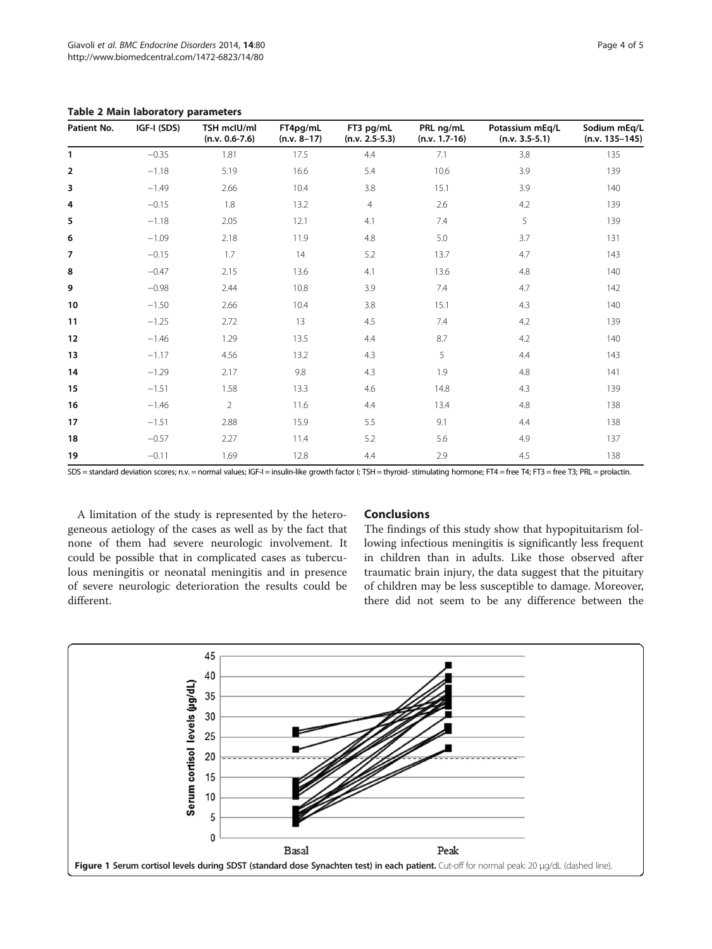<span id="page-3-0"></span>Table 2 Main laboratory parameters

| Patient No.    | IGF-I (SDS) | TSH mclU/ml<br>$(n.v. 0.6-7.6)$ | FT4pg/mL<br>$(n.v. 8-17)$ | FT3 pg/mL<br>$(n.v. 2.5-5.3)$ | PRL ng/mL<br>$(n.v. 1.7-16)$ | Potassium mEq/L<br>$(n.v. 3.5-5.1)$ | Sodium mEq/L<br>$(n.v. 135-145)$ |
|----------------|-------------|---------------------------------|---------------------------|-------------------------------|------------------------------|-------------------------------------|----------------------------------|
| $\mathbf{1}$   | $-0.35$     | 1.81                            | 17.5                      | 4.4                           | 7.1                          | 3.8                                 | 135                              |
| $\overline{2}$ | $-1.18$     | 5.19                            | 16.6                      | 5.4                           | 10.6                         | 3.9                                 | 139                              |
| 3              | $-1.49$     | 2.66                            | 10.4                      | 3.8                           | 15.1                         | 3.9                                 | 140                              |
| 4              | $-0.15$     | 1.8                             | 13.2                      | $\overline{4}$                | 2.6                          | 4.2                                 | 139                              |
| 5              | $-1.18$     | 2.05                            | 12.1                      | 4.1                           | 7.4                          | 5                                   | 139                              |
| 6              | $-1.09$     | 2.18                            | 11.9                      | 4.8                           | 5.0                          | 3.7                                 | 131                              |
| $\overline{7}$ | $-0.15$     | 1.7                             | 14                        | 5.2                           | 13.7                         | 4.7                                 | 143                              |
| 8              | $-0.47$     | 2.15                            | 13.6                      | 4.1                           | 13.6                         | 4.8                                 | 140                              |
| 9              | $-0.98$     | 2.44                            | 10.8                      | 3.9                           | 7.4                          | 4.7                                 | 142                              |
| 10             | $-1.50$     | 2.66                            | 10.4                      | 3.8                           | 15.1                         | 4.3                                 | 140                              |
| 11             | $-1.25$     | 2.72                            | 13                        | 4.5                           | 7.4                          | 4.2                                 | 139                              |
| 12             | $-1.46$     | 1.29                            | 13.5                      | 4.4                           | 8.7                          | 4.2                                 | 140                              |
| 13             | $-1.17$     | 4.56                            | 13.2                      | 4.3                           | 5                            | 4.4                                 | 143                              |
| 14             | $-1.29$     | 2.17                            | 9.8                       | 4.3                           | 1.9                          | 4.8                                 | 141                              |
| 15             | $-1.51$     | 1.58                            | 13.3                      | 4.6                           | 14.8                         | 4.3                                 | 139                              |
| 16             | $-1.46$     | $\overline{2}$                  | 11.6                      | 4.4                           | 13.4                         | 4.8                                 | 138                              |
| 17             | $-1.51$     | 2.88                            | 15.9                      | 5.5                           | 9.1                          | 4.4                                 | 138                              |
| 18             | $-0.57$     | 2.27                            | 11.4                      | 5.2                           | 5.6                          | 4.9                                 | 137                              |
| 19             | $-0.11$     | 1.69                            | 12.8                      | 4.4                           | 2.9                          | 4.5                                 | 138                              |

SDS = standard deviation scores; n.v. = normal values; IGF-I = insulin-like growth factor I; TSH = thyroid- stimulating hormone; FT4 = free T4; FT3 = free T3; PRL = prolactin.

A limitation of the study is represented by the heterogeneous aetiology of the cases as well as by the fact that none of them had severe neurologic involvement. It could be possible that in complicated cases as tuberculous meningitis or neonatal meningitis and in presence of severe neurologic deterioration the results could be different.

### **Conclusions**

The findings of this study show that hypopituitarism following infectious meningitis is significantly less frequent in children than in adults. Like those observed after traumatic brain injury, the data suggest that the pituitary of children may be less susceptible to damage. Moreover, there did not seem to be any difference between the